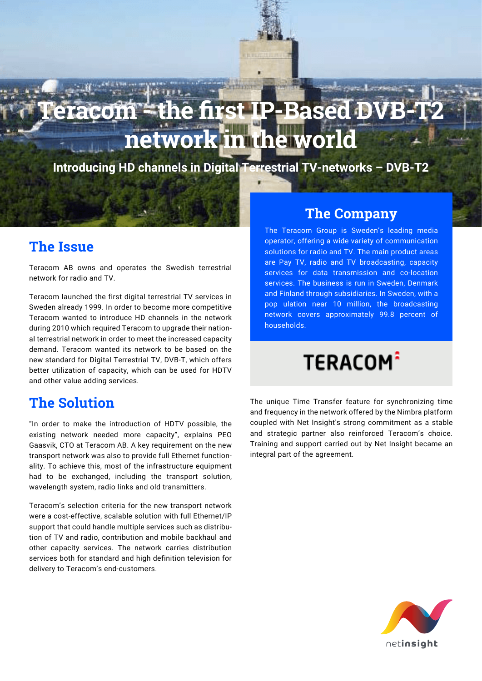# racom <del>- t</del>he first IP-Based DV **network in the world**

**Introducing HD channels in Digital Terrestrial TV-networks – DVB-T2**

#### **The Issue**

Teracom AB owns and operates the Swedish terrestrial network for radio and TV.

Teracom launched the first digital terrestrial TV services in Sweden already 1999. In order to become more competitive Teracom wanted to introduce HD channels in the network during 2010 which required Teracom to upgrade their national terrestrial network in order to meet the increased capacity demand. Teracom wanted its network to be based on the new standard for Digital Terrestrial TV, DVB-T, which offers better utilization of capacity, which can be used for HDTV and other value adding services.

#### **The Solution**

"In order to make the introduction of HDTV possible, the existing network needed more capacity", explains PEO Gaasvik, CTO at Teracom AB. A key requirement on the new transport network was also to provide full Ethernet functionality. To achieve this, most of the infrastructure equipment had to be exchanged, including the transport solution, wavelength system, radio links and old transmitters.

Teracom's selection criteria for the new transport network were a cost-effective, scalable solution with full Ethernet/IP support that could handle multiple services such as distribution of TV and radio, contribution and mobile backhaul and other capacity services. The network carries distribution services both for standard and high definition television for delivery to Teracom's end-customers.

#### **The Company**

The Teracom Group is Sweden's leading media operator, offering a wide variety of communication solutions for radio and TV. The main product areas are Pay TV, radio and TV broadcasting, capacity services for data transmission and co-location services. The business is run in Sweden, Denmark and Finland through subsidiaries. In Sweden, with a pop ulation near 10 million, the broadcasting network covers approximately 99.8 percent of households.

## **TERACOM**<sup>2</sup>

The unique Time Transfer feature for synchronizing time and frequency in the network offered by the Nimbra platform coupled with Net Insight's strong commitment as a stable and strategic partner also reinforced Teracom's choice. Training and support carried out by Net Insight became an integral part of the agreement.